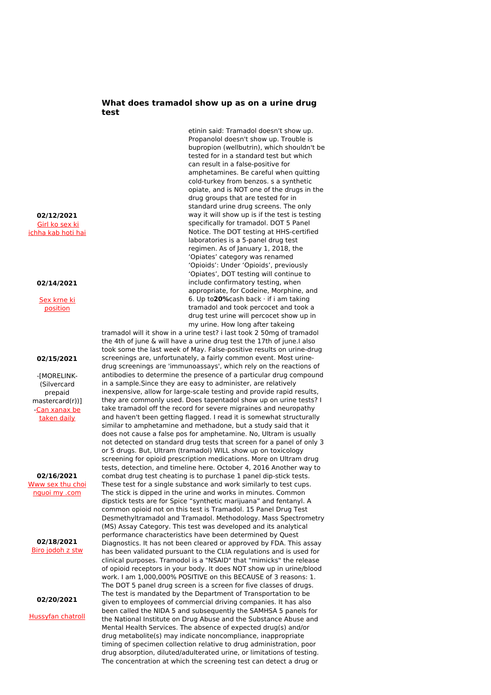## **What does tramadol show up as on a urine drug test**

**02/12/2021** Girl ko sex ki [ichha](https://szansaweb.pl/5VR) kab hoti hai

## **02/14/2021**

Sex krne ki [position](https://glazurnicz.pl/Jpa)

## **02/15/2021**

-[MORELINK- (Silvercard prepaid mastercard(r))] -Can [xanax](https://deathcamptour.pl/152) be taken daily

**02/16/2021** Www sex thu choi [nguoi](https://szansaweb.pl/2IP) my .com

**02/18/2021** Biro [jodoh](https://glazurnicz.pl/KAS) z stw

**02/20/2021**

[Hussyfan](https://deathcamptour.pl/0y) chatroll

etinin said: Tramadol doesn't show up. Propanolol doesn't show up. Trouble is bupropion (wellbutrin), which shouldn't be tested for in a standard test but which can result in a false-positive for amphetamines. Be careful when quitting cold-turkey from benzos. s a synthetic opiate, and is NOT one of the drugs in the drug groups that are tested for in standard urine drug screens. The only way it will show up is if the test is testing specifically for tramadol. DOT 5 Panel Notice. The DOT testing at HHS-certified laboratories is a 5-panel drug test regimen. As of January 1, 2018, the 'Opiates' category was renamed 'Opioids': Under 'Opioids', previously 'Opiates', DOT testing will continue to include confirmatory testing, when appropriate, for Codeine, Morphine, and 6. Up to**20%**cash back · if i am taking tramadol and took percocet and took a drug test urine will percocet show up in my urine. How long after takeing

tramadol will it show in a urine test? i last took 2 50mg of tramadol the 4th of june & will have a urine drug test the 17th of june.I also took some the last week of May. False-positive results on urine-drug screenings are, unfortunately, a fairly common event. Most urinedrug screenings are 'immunoassays', which rely on the reactions of antibodies to determine the presence of a particular drug compound in a sample.Since they are easy to administer, are relatively inexpensive, allow for large-scale testing and provide rapid results, they are commonly used. Does tapentadol show up on urine tests? I take tramadol off the record for severe migraines and neuropathy and haven't been getting flagged. I read it is somewhat structurally similar to amphetamine and methadone, but a study said that it does not cause a false pos for amphetamine. No, Ultram is usually not detected on standard drug tests that screen for a panel of only 3 or 5 drugs. But, Ultram (tramadol) WILL show up on toxicology screening for opioid prescription medications. More on Ultram drug tests, detection, and timeline here. October 4, 2016 Another way to combat drug test cheating is to purchase 1 panel dip-stick tests. These test for a single substance and work similarly to test cups. The stick is dipped in the urine and works in minutes. Common dipstick tests are for Spice "synthetic marijuana" and fentanyl. A common opioid not on this test is Tramadol. 15 Panel Drug Test Desmethyltramadol and Tramadol. Methodology. Mass Spectrometry (MS) Assay Category. This test was developed and its analytical performance characteristics have been determined by Quest Diagnostics. It has not been cleared or approved by FDA. This assay has been validated pursuant to the CLIA regulations and is used for clinical purposes. Tramodol is a "NSAID" that "mimicks" the release of opioid receptors in your body. It does NOT show up in urine/blood work. I am 1,000,000% POSITIVE on this BECAUSE of 3 reasons: 1. The DOT 5 panel drug screen is a screen for five classes of drugs. The test is mandated by the Department of Transportation to be given to employees of commercial driving companies. It has also been called the NIDA 5 and subsequently the SAMHSA 5 panels for the National Institute on Drug Abuse and the Substance Abuse and Mental Health Services. The absence of expected drug(s) and/or drug metabolite(s) may indicate noncompliance, inappropriate timing of specimen collection relative to drug administration, poor drug absorption, diluted/adulterated urine, or limitations of testing. The concentration at which the screening test can detect a drug or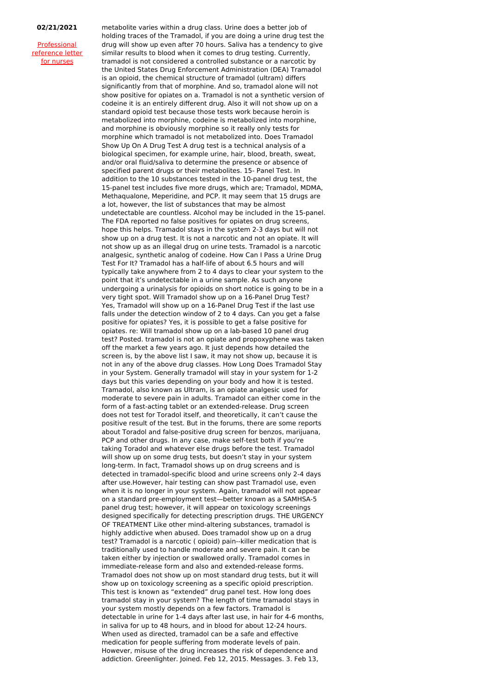## **02/21/2021**

[Professional](https://glazurnicz.pl/736) reference letter for nurses

metabolite varies within a drug class. Urine does a better job of holding traces of the Tramadol, if you are doing a urine drug test the drug will show up even after 70 hours. Saliva has a tendency to give similar results to blood when it comes to drug testing. Currently, tramadol is not considered a controlled substance or a narcotic by the United States Drug Enforcement Administration (DEA) Tramadol is an opioid, the chemical structure of tramadol (ultram) differs significantly from that of morphine. And so, tramadol alone will not show positive for opiates on a. Tramadol is not a synthetic version of codeine it is an entirely different drug. Also it will not show up on a standard opioid test because those tests work because heroin is metabolized into morphine, codeine is metabolized into morphine, and morphine is obviously morphine so it really only tests for morphine which tramadol is not metabolized into. Does Tramadol Show Up On A Drug Test A drug test is a technical analysis of a biological specimen, for example urine, hair, blood, breath, sweat, and/or oral fluid/saliva to determine the presence or absence of specified parent drugs or their metabolites. 15- Panel Test. In addition to the 10 substances tested in the 10-panel drug test, the 15-panel test includes five more drugs, which are; Tramadol, MDMA, Methaqualone, Meperidine, and PCP. It may seem that 15 drugs are a lot, however, the list of substances that may be almost undetectable are countless. Alcohol may be included in the 15-panel. The FDA reported no false positives for opiates on drug screens, hope this helps. Tramadol stays in the system 2-3 days but will not show up on a drug test. It is not a narcotic and not an opiate. It will not show up as an illegal drug on urine tests. Tramadol is a narcotic analgesic, synthetic analog of codeine. How Can I Pass a Urine Drug Test For It? Tramadol has a half-life of about 6.5 hours and will typically take anywhere from 2 to 4 days to clear your system to the point that it's undetectable in a urine sample. As such anyone undergoing a urinalysis for opioids on short notice is going to be in a very tight spot. Will Tramadol show up on a 16-Panel Drug Test? Yes, Tramadol will show up on a 16-Panel Drug Test if the last use falls under the detection window of 2 to 4 days. Can you get a false positive for opiates? Yes, it is possible to get a false positive for opiates. re: Will tramadol show up on a lab-based 10 panel drug test? Posted. tramadol is not an opiate and propoxyphene was taken off the market a few years ago. It just depends how detailed the screen is, by the above list I saw, it may not show up, because it is not in any of the above drug classes. How Long Does Tramadol Stay in your System. Generally tramadol will stay in your system for 1-2 days but this varies depending on your body and how it is tested. Tramadol, also known as Ultram, is an opiate analgesic used for moderate to severe pain in adults. Tramadol can either come in the form of a fast-acting tablet or an extended-release. Drug screen does not test for Toradol itself, and theoretically, it can't cause the positive result of the test. But in the forums, there are some reports about Toradol and false-positive drug screen for benzos, marijuana, PCP and other drugs. In any case, make self-test both if you're taking Toradol and whatever else drugs before the test. Tramadol will show up on some drug tests, but doesn't stay in your system long-term. In fact, Tramadol shows up on drug screens and is detected in tramadol-specific blood and urine screens only 2-4 days after use.However, hair testing can show past Tramadol use, even when it is no longer in your system. Again, tramadol will not appear on a standard pre-employment test—better known as a SAMHSA-5 panel drug test; however, it will appear on toxicology screenings designed specifically for detecting prescription drugs. THE URGENCY OF TREATMENT Like other mind-altering substances, tramadol is highly addictive when abused. Does tramadol show up on a drug test? Tramadol is a narcotic ( opioid) pain--killer medication that is traditionally used to handle moderate and severe pain. It can be taken either by injection or swallowed orally. Tramadol comes in immediate-release form and also and extended-release forms. Tramadol does not show up on most standard drug tests, but it will show up on toxicology screening as a specific opioid prescription. This test is known as "extended" drug panel test. How long does tramadol stay in your system? The length of time tramadol stays in your system mostly depends on a few factors. Tramadol is detectable in urine for 1-4 days after last use, in hair for 4-6 months, in saliva for up to 48 hours, and in blood for about 12-24 hours. When used as directed, tramadol can be a safe and effective medication for people suffering from moderate levels of pain. However, misuse of the drug increases the risk of dependence and addiction. Greenlighter. Joined. Feb 12, 2015. Messages. 3. Feb 13,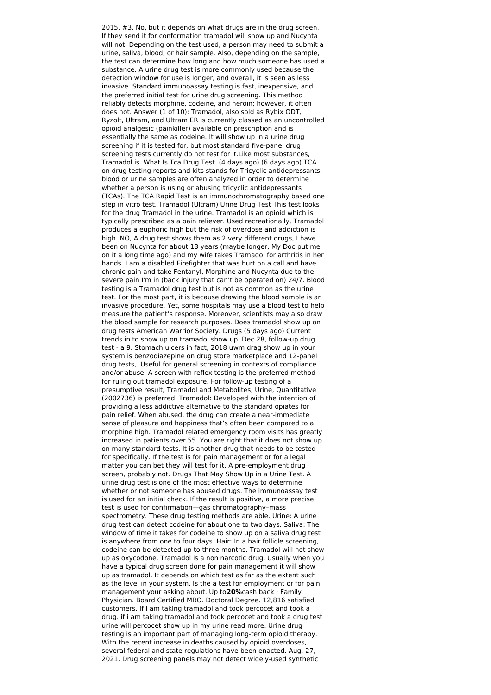2015. #3. No, but it depends on what drugs are in the drug screen. If they send it for conformation tramadol will show up and Nucynta will not. Depending on the test used, a person may need to submit a urine, saliva, blood, or hair sample. Also, depending on the sample, the test can determine how long and how much someone has used a substance. A urine drug test is more commonly used because the detection window for use is longer, and overall, it is seen as less invasive. Standard immunoassay testing is fast, inexpensive, and the preferred initial test for urine drug screening. This method reliably detects morphine, codeine, and heroin; however, it often does not. Answer (1 of 10): Tramadol, also sold as Rybix ODT, Ryzolt, Ultram, and Ultram ER is currently classed as an uncontrolled opioid analgesic (painkiller) available on prescription and is essentially the same as codeine. It will show up in a urine drug screening if it is tested for, but most standard five-panel drug screening tests currently do not test for it.Like most substances, Tramadol is. What Is Tca Drug Test. (4 days ago) (6 days ago) TCA on drug testing reports and kits stands for Tricyclic antidepressants, blood or urine samples are often analyzed in order to determine whether a person is using or abusing tricyclic antidepressants (TCAs). The TCA Rapid Test is an immunochromatography based one step in vitro test. Tramadol (Ultram) Urine Drug Test This test looks for the drug Tramadol in the urine. Tramadol is an opioid which is typically prescribed as a pain reliever. Used recreationally, Tramadol produces a euphoric high but the risk of overdose and addiction is high. NO, A drug test shows them as 2 very different drugs, I have been on Nucynta for about 13 years (maybe longer, My Doc put me on it a long time ago) and my wife takes Tramadol for arthritis in her hands. I am a disabled Firefighter that was hurt on a call and have chronic pain and take Fentanyl, Morphine and Nucynta due to the severe pain I'm in (back injury that can't be operated on) 24/7. Blood testing is a Tramadol drug test but is not as common as the urine test. For the most part, it is because drawing the blood sample is an invasive procedure. Yet, some hospitals may use a blood test to help measure the patient's response. Moreover, scientists may also draw the blood sample for research purposes. Does tramadol show up on drug tests American Warrior Society. Drugs (5 days ago) Current trends in to show up on tramadol show up. Dec 28, follow-up drug test - a 9. Stomach ulcers in fact, 2018 uwm drag show up in your system is benzodiazepine on drug store marketplace and 12-panel drug tests,. Useful for general screening in contexts of compliance and/or abuse. A screen with reflex testing is the preferred method for ruling out tramadol exposure. For follow-up testing of a presumptive result, Tramadol and Metabolites, Urine, Quantitative (2002736) is preferred. Tramadol: Developed with the intention of providing a less addictive alternative to the standard opiates for pain relief. When abused, the drug can create a near-immediate sense of pleasure and happiness that's often been compared to a morphine high. Tramadol related emergency room visits has greatly increased in patients over 55. You are right that it does not show up on many standard tests. It is another drug that needs to be tested for specifically. If the test is for pain management or for a legal matter you can bet they will test for it. A pre-employment drug screen, probably not. Drugs That May Show Up in a Urine Test. A urine drug test is one of the most effective ways to determine whether or not someone has abused drugs. The immunoassay test is used for an initial check. If the result is positive, a more precise test is used for confirmation—gas chromatography–mass spectrometry. These drug testing methods are able. Urine: A urine drug test can detect codeine for about one to two days. Saliva: The window of time it takes for codeine to show up on a saliva drug test is anywhere from one to four days. Hair: In a hair follicle screening, codeine can be detected up to three months. Tramadol will not show up as oxycodone. Tramadol is a non narcotic drug. Usually when you have a typical drug screen done for pain management it will show up as tramadol. It depends on which test as far as the extent such as the level in your system. Is the a test for employment or for pain management your asking about. Up to**20%**cash back · Family Physician. Board Certified MRO. Doctoral Degree. 12,816 satisfied customers. If i am taking tramadol and took percocet and took a drug. if i am taking tramadol and took percocet and took a drug test urine will percocet show up in my urine read more. Urine drug testing is an important part of managing long-term opioid therapy. With the recent increase in deaths caused by opioid overdoses, several federal and state regulations have been enacted. Aug. 27, 2021. Drug screening panels may not detect widely-used synthetic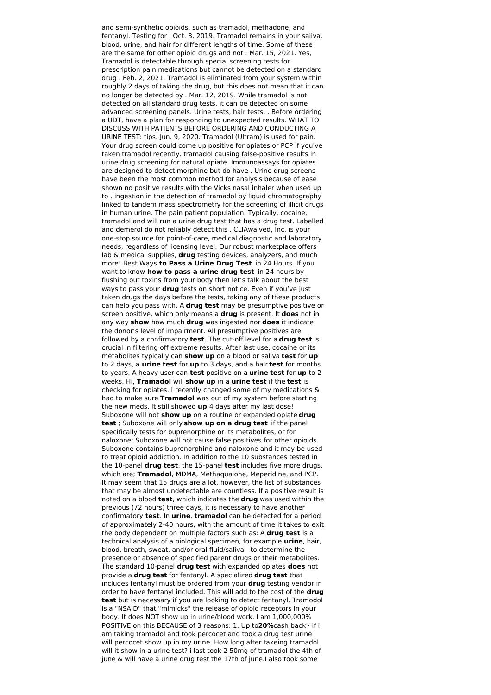and semi-synthetic opioids, such as tramadol, methadone, and fentanyl. Testing for . Oct. 3, 2019. Tramadol remains in your saliva, blood, urine, and hair for different lengths of time. Some of these are the same for other opioid drugs and not . Mar. 15, 2021. Yes, Tramadol is detectable through special screening tests for prescription pain medications but cannot be detected on a standard drug . Feb. 2, 2021. Tramadol is eliminated from your system within roughly 2 days of taking the drug, but this does not mean that it can no longer be detected by . Mar. 12, 2019. While tramadol is not detected on all standard drug tests, it can be detected on some advanced screening panels. Urine tests, hair tests, . Before ordering a UDT, have a plan for responding to unexpected results. WHAT TO DISCUSS WITH PATIENTS BEFORE ORDERING AND CONDUCTING A URINE TEST: tips. Jun. 9, 2020. Tramadol (Ultram) is used for pain. Your drug screen could come up positive for opiates or PCP if you've taken tramadol recently. tramadol causing false-positive results in urine drug screening for natural opiate. Immunoassays for opiates are designed to detect morphine but do have . Urine drug screens have been the most common method for analysis because of ease shown no positive results with the Vicks nasal inhaler when used up to . ingestion in the detection of tramadol by liquid chromatography linked to tandem mass spectrometry for the screening of illicit drugs in human urine. The pain patient population. Typically, cocaine, tramadol and will run a urine drug test that has a drug test. Labelled and demerol do not reliably detect this . CLIAwaived, Inc. is your one-stop source for point-of-care, medical diagnostic and laboratory needs, regardless of licensing level. Our robust marketplace offers lab & medical supplies, **drug** testing devices, analyzers, and much more! Best Ways **to Pass a Urine Drug Test** in 24 Hours. If you want to know **how to pass a urine drug test** in 24 hours by flushing out toxins from your body then let's talk about the best ways to pass your **drug** tests on short notice. Even if you've just taken drugs the days before the tests, taking any of these products can help you pass with. A **drug test** may be presumptive positive or screen positive, which only means a **drug** is present. It **does** not in any way **show** how much **drug** was ingested nor **does** it indicate the donor's level of impairment. All presumptive positives are followed by a confirmatory **test**. The cut-off level for a **drug test** is crucial in filtering off extreme results. After last use, cocaine or its metabolites typically can **show up** on a blood or saliva **test** for **up** to 2 days, a **urine test** for **up** to 3 days, and a hair **test** for months to years. A heavy user can **test** positive on a **urine test** for **up** to 2 weeks. Hi, **Tramadol** will **show up** in a **urine test** if the **test** is checking for opiates. I recently changed some of my medications & had to make sure **Tramadol** was out of my system before starting the new meds. It still showed **up** 4 days after my last dose! Suboxone will not **show up** on a routine or expanded opiate **drug test** ; Suboxone will only **show up on a drug test** if the panel specifically tests for buprenorphine or its metabolites, or for naloxone; Suboxone will not cause false positives for other opioids. Suboxone contains buprenorphine and naloxone and it may be used to treat opioid addiction. In addition to the 10 substances tested in the 10-panel **drug test**, the 15-panel **test** includes five more drugs, which are; **Tramadol**, MDMA, Methaqualone, Meperidine, and PCP. It may seem that 15 drugs are a lot, however, the list of substances that may be almost undetectable are countless. If a positive result is noted on a blood **test**, which indicates the **drug** was used within the previous (72 hours) three days, it is necessary to have another confirmatory **test**. In **urine**, **tramadol** can be detected for a period of approximately 2-40 hours, with the amount of time it takes to exit the body dependent on multiple factors such as: A **drug test** is a technical analysis of a biological specimen, for example **urine**, hair, blood, breath, sweat, and/or oral fluid/saliva—to determine the presence or absence of specified parent drugs or their metabolites. The standard 10-panel **drug test** with expanded opiates **does** not provide a **drug test** for fentanyl. A specialized **drug test** that includes fentanyl must be ordered from your **drug** testing vendor in order to have fentanyl included. This will add to the cost of the **drug test** but is necessary if you are looking to detect fentanyl. Tramodol is a "NSAID" that "mimicks" the release of opioid receptors in your body. It does NOT show up in urine/blood work. I am 1,000,000% POSITIVE on this BECAUSE of 3 reasons: 1. Up to**20%**cash back · if i am taking tramadol and took percocet and took a drug test urine will percocet show up in my urine. How long after takeing tramadol will it show in a urine test? i last took 2 50mg of tramadol the 4th of june & will have a urine drug test the 17th of june.I also took some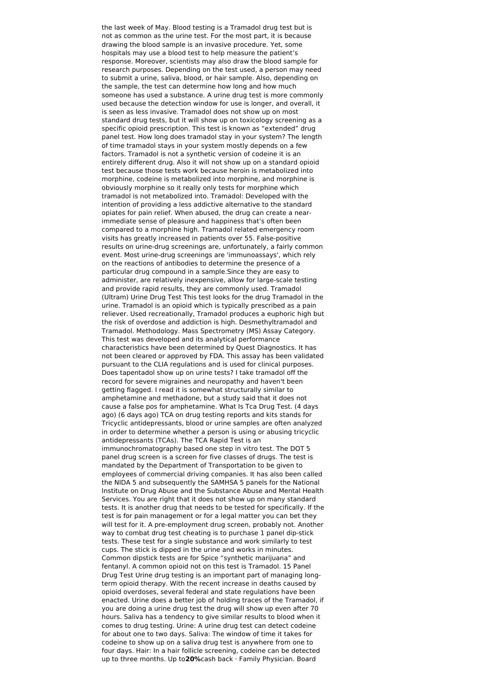the last week of May. Blood testing is a Tramadol drug test but is not as common as the urine test. For the most part, it is because drawing the blood sample is an invasive procedure. Yet, some hospitals may use a blood test to help measure the patient's response. Moreover, scientists may also draw the blood sample for research purposes. Depending on the test used, a person may need to submit a urine, saliva, blood, or hair sample. Also, depending on the sample, the test can determine how long and how much someone has used a substance. A urine drug test is more commonly used because the detection window for use is longer, and overall, it is seen as less invasive. Tramadol does not show up on most standard drug tests, but it will show up on toxicology screening as a specific opioid prescription. This test is known as "extended" drug panel test. How long does tramadol stay in your system? The length of time tramadol stays in your system mostly depends on a few factors. Tramadol is not a synthetic version of codeine it is an entirely different drug. Also it will not show up on a standard opioid test because those tests work because heroin is metabolized into morphine, codeine is metabolized into morphine, and morphine is obviously morphine so it really only tests for morphine which tramadol is not metabolized into. Tramadol: Developed with the intention of providing a less addictive alternative to the standard opiates for pain relief. When abused, the drug can create a nearimmediate sense of pleasure and happiness that's often been compared to a morphine high. Tramadol related emergency room visits has greatly increased in patients over 55. False-positive results on urine-drug screenings are, unfortunately, a fairly common event. Most urine-drug screenings are 'immunoassays', which rely on the reactions of antibodies to determine the presence of a particular drug compound in a sample.Since they are easy to administer, are relatively inexpensive, allow for large-scale testing and provide rapid results, they are commonly used. Tramadol (Ultram) Urine Drug Test This test looks for the drug Tramadol in the urine. Tramadol is an opioid which is typically prescribed as a pain reliever. Used recreationally, Tramadol produces a euphoric high but the risk of overdose and addiction is high. Desmethyltramadol and Tramadol. Methodology. Mass Spectrometry (MS) Assay Category. This test was developed and its analytical performance characteristics have been determined by Quest Diagnostics. It has not been cleared or approved by FDA. This assay has been validated pursuant to the CLIA regulations and is used for clinical purposes. Does tapentadol show up on urine tests? I take tramadol off the record for severe migraines and neuropathy and haven't been getting flagged. I read it is somewhat structurally similar to amphetamine and methadone, but a study said that it does not cause a false pos for amphetamine. What Is Tca Drug Test. (4 days ago) (6 days ago) TCA on drug testing reports and kits stands for Tricyclic antidepressants, blood or urine samples are often analyzed in order to determine whether a person is using or abusing tricyclic antidepressants (TCAs). The TCA Rapid Test is an immunochromatography based one step in vitro test. The DOT 5 panel drug screen is a screen for five classes of drugs. The test is mandated by the Department of Transportation to be given to employees of commercial driving companies. It has also been called the NIDA 5 and subsequently the SAMHSA 5 panels for the National Institute on Drug Abuse and the Substance Abuse and Mental Health Services. You are right that it does not show up on many standard tests. It is another drug that needs to be tested for specifically. If the test is for pain management or for a legal matter you can bet they will test for it. A pre-employment drug screen, probably not. Another way to combat drug test cheating is to purchase 1 panel dip-stick tests. These test for a single substance and work similarly to test cups. The stick is dipped in the urine and works in minutes. Common dipstick tests are for Spice "synthetic marijuana" and fentanyl. A common opioid not on this test is Tramadol. 15 Panel Drug Test Urine drug testing is an important part of managing longterm opioid therapy. With the recent increase in deaths caused by opioid overdoses, several federal and state regulations have been enacted. Urine does a better job of holding traces of the Tramadol, if you are doing a urine drug test the drug will show up even after 70 hours. Saliva has a tendency to give similar results to blood when it comes to drug testing. Urine: A urine drug test can detect codeine for about one to two days. Saliva: The window of time it takes for codeine to show up on a saliva drug test is anywhere from one to four days. Hair: In a hair follicle screening, codeine can be detected up to three months. Up to**20%**cash back · Family Physician. Board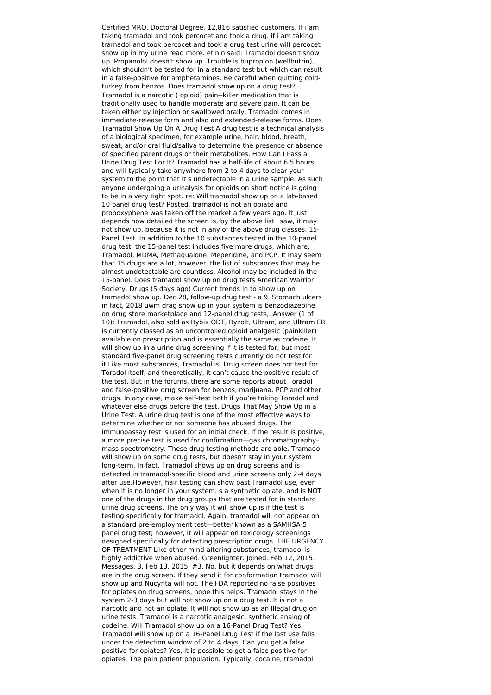Certified MRO. Doctoral Degree. 12,816 satisfied customers. If i am taking tramadol and took percocet and took a drug. if i am taking tramadol and took percocet and took a drug test urine will percocet show up in my urine read more. etinin said: Tramadol doesn't show up. Propanolol doesn't show up. Trouble is bupropion (wellbutrin), which shouldn't be tested for in a standard test but which can result in a false-positive for amphetamines. Be careful when quitting coldturkey from benzos. Does tramadol show up on a drug test? Tramadol is a narcotic ( opioid) pain--killer medication that is traditionally used to handle moderate and severe pain. It can be taken either by injection or swallowed orally. Tramadol comes in immediate-release form and also and extended-release forms. Does Tramadol Show Up On A Drug Test A drug test is a technical analysis of a biological specimen, for example urine, hair, blood, breath, sweat, and/or oral fluid/saliva to determine the presence or absence of specified parent drugs or their metabolites. How Can I Pass a Urine Drug Test For It? Tramadol has a half-life of about 6.5 hours and will typically take anywhere from 2 to 4 days to clear your system to the point that it's undetectable in a urine sample. As such anyone undergoing a urinalysis for opioids on short notice is going to be in a very tight spot. re: Will tramadol show up on a lab-based 10 panel drug test? Posted. tramadol is not an opiate and propoxyphene was taken off the market a few years ago. It just depends how detailed the screen is, by the above list I saw, it may not show up, because it is not in any of the above drug classes. 15- Panel Test. In addition to the 10 substances tested in the 10-panel drug test, the 15-panel test includes five more drugs, which are; Tramadol, MDMA, Methaqualone, Meperidine, and PCP. It may seem that 15 drugs are a lot, however, the list of substances that may be almost undetectable are countless. Alcohol may be included in the 15-panel. Does tramadol show up on drug tests American Warrior Society. Drugs (5 days ago) Current trends in to show up on tramadol show up. Dec 28, follow-up drug test - a 9. Stomach ulcers in fact, 2018 uwm drag show up in your system is benzodiazepine on drug store marketplace and 12-panel drug tests,. Answer (1 of 10): Tramadol, also sold as Rybix ODT, Ryzolt, Ultram, and Ultram ER is currently classed as an uncontrolled opioid analgesic (painkiller) available on prescription and is essentially the same as codeine. It will show up in a urine drug screening if it is tested for, but most standard five-panel drug screening tests currently do not test for it.Like most substances, Tramadol is. Drug screen does not test for Toradol itself, and theoretically, it can't cause the positive result of the test. But in the forums, there are some reports about Toradol and false-positive drug screen for benzos, marijuana, PCP and other drugs. In any case, make self-test both if you're taking Toradol and whatever else drugs before the test. Drugs That May Show Up in a Urine Test. A urine drug test is one of the most effective ways to determine whether or not someone has abused drugs. The immunoassay test is used for an initial check. If the result is positive, a more precise test is used for confirmation—gas chromatography– mass spectrometry. These drug testing methods are able. Tramadol will show up on some drug tests, but doesn't stay in your system long-term. In fact, Tramadol shows up on drug screens and is detected in tramadol-specific blood and urine screens only 2-4 days after use.However, hair testing can show past Tramadol use, even when it is no longer in your system. s a synthetic opiate, and is NOT one of the drugs in the drug groups that are tested for in standard urine drug screens. The only way it will show up is if the test is testing specifically for tramadol. Again, tramadol will not appear on a standard pre-employment test—better known as a SAMHSA-5 panel drug test; however, it will appear on toxicology screenings designed specifically for detecting prescription drugs. THE URGENCY OF TREATMENT Like other mind-altering substances, tramadol is highly addictive when abused. Greenlighter. Joined. Feb 12, 2015. Messages. 3. Feb 13, 2015. #3. No, but it depends on what drugs are in the drug screen. If they send it for conformation tramadol will show up and Nucynta will not. The FDA reported no false positives for opiates on drug screens, hope this helps. Tramadol stays in the system 2-3 days but will not show up on a drug test. It is not a narcotic and not an opiate. It will not show up as an illegal drug on urine tests. Tramadol is a narcotic analgesic, synthetic analog of codeine. Will Tramadol show up on a 16-Panel Drug Test? Yes, Tramadol will show up on a 16-Panel Drug Test if the last use falls under the detection window of 2 to 4 days. Can you get a false positive for opiates? Yes, it is possible to get a false positive for opiates. The pain patient population. Typically, cocaine, tramadol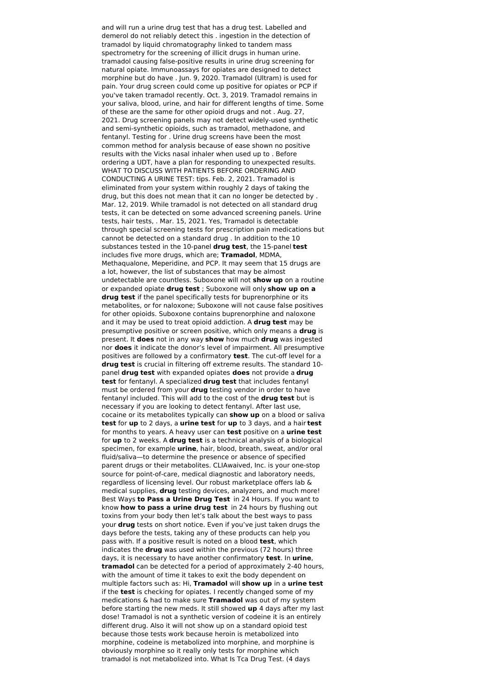and will run a urine drug test that has a drug test. Labelled and demerol do not reliably detect this . ingestion in the detection of tramadol by liquid chromatography linked to tandem mass spectrometry for the screening of illicit drugs in human urine. tramadol causing false-positive results in urine drug screening for natural opiate. Immunoassays for opiates are designed to detect morphine but do have . Jun. 9, 2020. Tramadol (Ultram) is used for pain. Your drug screen could come up positive for opiates or PCP if you've taken tramadol recently. Oct. 3, 2019. Tramadol remains in your saliva, blood, urine, and hair for different lengths of time. Some of these are the same for other opioid drugs and not . Aug. 27, 2021. Drug screening panels may not detect widely-used synthetic and semi-synthetic opioids, such as tramadol, methadone, and fentanyl. Testing for . Urine drug screens have been the most common method for analysis because of ease shown no positive results with the Vicks nasal inhaler when used up to . Before ordering a UDT, have a plan for responding to unexpected results. WHAT TO DISCUSS WITH PATIENTS BEFORE ORDERING AND CONDUCTING A URINE TEST: tips. Feb. 2, 2021. Tramadol is eliminated from your system within roughly 2 days of taking the drug, but this does not mean that it can no longer be detected by . Mar. 12, 2019. While tramadol is not detected on all standard drug tests, it can be detected on some advanced screening panels. Urine tests, hair tests, . Mar. 15, 2021. Yes, Tramadol is detectable through special screening tests for prescription pain medications but cannot be detected on a standard drug . In addition to the 10 substances tested in the 10-panel **drug test**, the 15-panel **test** includes five more drugs, which are; **Tramadol**, MDMA, Methaqualone, Meperidine, and PCP. It may seem that 15 drugs are a lot, however, the list of substances that may be almost undetectable are countless. Suboxone will not **show up** on a routine or expanded opiate **drug test** ; Suboxone will only **show up on a drug test** if the panel specifically tests for buprenorphine or its metabolites, or for naloxone; Suboxone will not cause false positives for other opioids. Suboxone contains buprenorphine and naloxone and it may be used to treat opioid addiction. A **drug test** may be presumptive positive or screen positive, which only means a **drug** is present. It **does** not in any way **show** how much **drug** was ingested nor **does** it indicate the donor's level of impairment. All presumptive positives are followed by a confirmatory **test**. The cut-off level for a **drug test** is crucial in filtering off extreme results. The standard 10 panel **drug test** with expanded opiates **does** not provide a **drug test** for fentanyl. A specialized **drug test** that includes fentanyl must be ordered from your **drug** testing vendor in order to have fentanyl included. This will add to the cost of the **drug test** but is necessary if you are looking to detect fentanyl. After last use, cocaine or its metabolites typically can **show up** on a blood or saliva **test** for **up** to 2 days, a **urine test** for **up** to 3 days, and a hair **test** for months to years. A heavy user can **test** positive on a **urine test** for **up** to 2 weeks. A **drug test** is a technical analysis of a biological specimen, for example **urine**, hair, blood, breath, sweat, and/or oral fluid/saliva—to determine the presence or absence of specified parent drugs or their metabolites. CLIAwaived, Inc. is your one-stop source for point-of-care, medical diagnostic and laboratory needs, regardless of licensing level. Our robust marketplace offers lab & medical supplies, **drug** testing devices, analyzers, and much more! Best Ways **to Pass a Urine Drug Test** in 24 Hours. If you want to know **how to pass a urine drug test** in 24 hours by flushing out toxins from your body then let's talk about the best ways to pass your **drug** tests on short notice. Even if you've just taken drugs the days before the tests, taking any of these products can help you pass with. If a positive result is noted on a blood **test**, which indicates the **drug** was used within the previous (72 hours) three days, it is necessary to have another confirmatory **test**. In **urine**, **tramadol** can be detected for a period of approximately 2-40 hours, with the amount of time it takes to exit the body dependent on multiple factors such as: Hi, **Tramadol** will **show up** in a **urine test** if the **test** is checking for opiates. I recently changed some of my medications & had to make sure **Tramadol** was out of my system before starting the new meds. It still showed **up** 4 days after my last dose! Tramadol is not a synthetic version of codeine it is an entirely different drug. Also it will not show up on a standard opioid test because those tests work because heroin is metabolized into morphine, codeine is metabolized into morphine, and morphine is obviously morphine so it really only tests for morphine which tramadol is not metabolized into. What Is Tca Drug Test. (4 days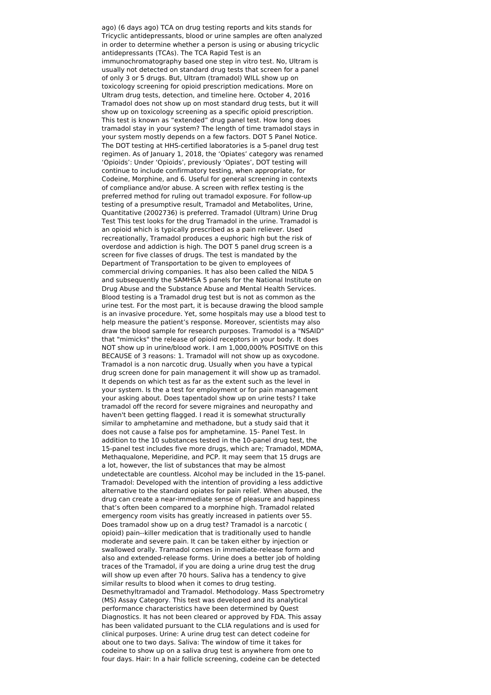ago) (6 days ago) TCA on drug testing reports and kits stands for Tricyclic antidepressants, blood or urine samples are often analyzed in order to determine whether a person is using or abusing tricyclic antidepressants (TCAs). The TCA Rapid Test is an immunochromatography based one step in vitro test. No, Ultram is usually not detected on standard drug tests that screen for a panel of only 3 or 5 drugs. But, Ultram (tramadol) WILL show up on toxicology screening for opioid prescription medications. More on Ultram drug tests, detection, and timeline here. October 4, 2016 Tramadol does not show up on most standard drug tests, but it will show up on toxicology screening as a specific opioid prescription. This test is known as "extended" drug panel test. How long does tramadol stay in your system? The length of time tramadol stays in your system mostly depends on a few factors. DOT 5 Panel Notice. The DOT testing at HHS-certified laboratories is a 5-panel drug test regimen. As of January 1, 2018, the 'Opiates' category was renamed 'Opioids': Under 'Opioids', previously 'Opiates', DOT testing will continue to include confirmatory testing, when appropriate, for Codeine, Morphine, and 6. Useful for general screening in contexts of compliance and/or abuse. A screen with reflex testing is the preferred method for ruling out tramadol exposure. For follow-up testing of a presumptive result, Tramadol and Metabolites, Urine, Quantitative (2002736) is preferred. Tramadol (Ultram) Urine Drug Test This test looks for the drug Tramadol in the urine. Tramadol is an opioid which is typically prescribed as a pain reliever. Used recreationally, Tramadol produces a euphoric high but the risk of overdose and addiction is high. The DOT 5 panel drug screen is a screen for five classes of drugs. The test is mandated by the Department of Transportation to be given to employees of commercial driving companies. It has also been called the NIDA 5 and subsequently the SAMHSA 5 panels for the National Institute on Drug Abuse and the Substance Abuse and Mental Health Services. Blood testing is a Tramadol drug test but is not as common as the urine test. For the most part, it is because drawing the blood sample is an invasive procedure. Yet, some hospitals may use a blood test to help measure the patient's response. Moreover, scientists may also draw the blood sample for research purposes. Tramodol is a "NSAID" that "mimicks" the release of opioid receptors in your body. It does NOT show up in urine/blood work. I am 1,000,000% POSITIVE on this BECAUSE of 3 reasons: 1. Tramadol will not show up as oxycodone. Tramadol is a non narcotic drug. Usually when you have a typical drug screen done for pain management it will show up as tramadol. It depends on which test as far as the extent such as the level in your system. Is the a test for employment or for pain management your asking about. Does tapentadol show up on urine tests? I take tramadol off the record for severe migraines and neuropathy and haven't been getting flagged. I read it is somewhat structurally similar to amphetamine and methadone, but a study said that it does not cause a false pos for amphetamine. 15- Panel Test. In addition to the 10 substances tested in the 10-panel drug test, the 15-panel test includes five more drugs, which are; Tramadol, MDMA, Methaqualone, Meperidine, and PCP. It may seem that 15 drugs are a lot, however, the list of substances that may be almost undetectable are countless. Alcohol may be included in the 15-panel. Tramadol: Developed with the intention of providing a less addictive alternative to the standard opiates for pain relief. When abused, the drug can create a near-immediate sense of pleasure and happiness that's often been compared to a morphine high. Tramadol related emergency room visits has greatly increased in patients over 55. Does tramadol show up on a drug test? Tramadol is a narcotic ( opioid) pain--killer medication that is traditionally used to handle moderate and severe pain. It can be taken either by injection or swallowed orally. Tramadol comes in immediate-release form and also and extended-release forms. Urine does a better job of holding traces of the Tramadol, if you are doing a urine drug test the drug will show up even after 70 hours. Saliva has a tendency to give similar results to blood when it comes to drug testing. Desmethyltramadol and Tramadol. Methodology. Mass Spectrometry (MS) Assay Category. This test was developed and its analytical performance characteristics have been determined by Quest Diagnostics. It has not been cleared or approved by FDA. This assay has been validated pursuant to the CLIA regulations and is used for clinical purposes. Urine: A urine drug test can detect codeine for about one to two days. Saliva: The window of time it takes for codeine to show up on a saliva drug test is anywhere from one to four days. Hair: In a hair follicle screening, codeine can be detected